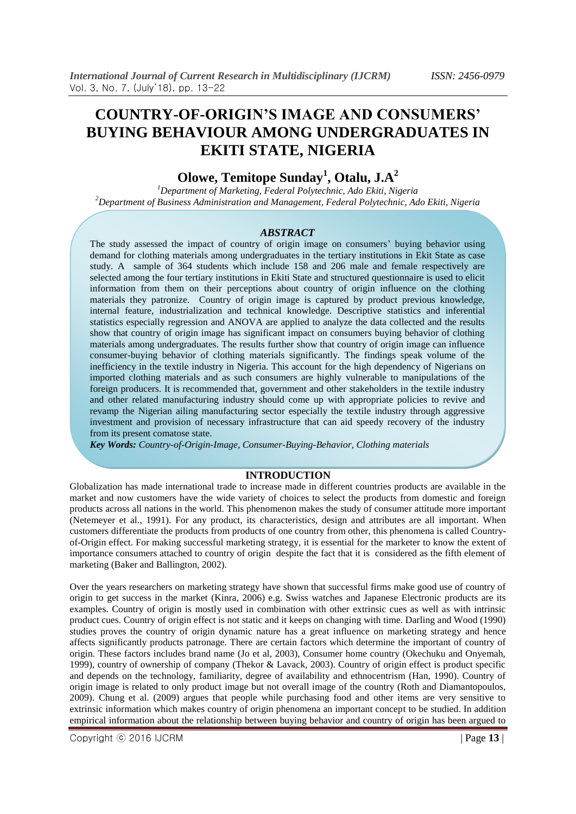# **COUNTRY-OF-ORIGIN'S IMAGE AND CONSUMERS' BUYING BEHAVIOUR AMONG UNDERGRADUATES IN EKITI STATE, NIGERIA**

# **Olowe, Temitope Sunday<sup>1</sup> , Otalu, J.A<sup>2</sup>**

*<sup>1</sup>Department of Marketing, Federal Polytechnic, Ado Ekiti, Nigeria <sup>2</sup>Department of Business Administration and Management, Federal Polytechnic, Ado Ekiti, Nigeria* 

#### *ABSTRACT*

The study assessed the impact of country of origin image on consumers' buying behavior using demand for clothing materials among undergraduates in the tertiary institutions in Ekit State as case study. A sample of 364 students which include 158 and 206 male and female respectively are selected among the four tertiary institutions in Ekiti State and structured questionnaire is used to elicit information from them on their perceptions about country of origin influence on the clothing materials they patronize. Country of origin image is captured by product previous knowledge, internal feature, industrialization and technical knowledge. Descriptive statistics and inferential statistics especially regression and ANOVA are applied to analyze the data collected and the results show that country of origin image has significant impact on consumers buying behavior of clothing materials among undergraduates. The results further show that country of origin image can influence consumer-buying behavior of clothing materials significantly. The findings speak volume of the inefficiency in the textile industry in Nigeria. This account for the high dependency of Nigerians on imported clothing materials and as such consumers are highly vulnerable to manipulations of the foreign producers. It is recommended that, government and other stakeholders in the textile industry and other related manufacturing industry should come up with appropriate policies to revive and revamp the Nigerian ailing manufacturing sector especially the textile industry through aggressive investment and provision of necessary infrastructure that can aid speedy recovery of the industry from its present comatose state.

*Key Words: Country-of-Origin-Image, Consumer-Buying-Behavior, Clothing materials* 

## **INTRODUCTION**

Globalization has made international trade to increase made in different countries products are available in the market and now customers have the wide variety of choices to select the products from domestic and foreign products across all nations in the world. This phenomenon makes the study of consumer attitude more important (Netemeyer et al., 1991). For any product, its characteristics, design and attributes are all important. When customers differentiate the products from products of one country from other, this phenomena is called Countryof-Origin effect. For making successful marketing strategy, it is essential for the marketer to know the extent of importance consumers attached to country of origin despite the fact that it is considered as the fifth element of marketing (Baker and Ballington, 2002).

Over the years researchers on marketing strategy have shown that successful firms make good use of country of origin to get success in the market (Kinra, 2006) e.g. Swiss watches and Japanese Electronic products are its examples. Country of origin is mostly used in combination with other extrinsic cues as well as with intrinsic product cues. Country of origin effect is not static and it keeps on changing with time. Darling and Wood (1990) studies proves the country of origin dynamic nature has a great influence on marketing strategy and hence affects significantly products patronage. There are certain factors which determine the important of country of origin. These factors includes brand name (Jo et al, 2003), Consumer home country (Okechuku and Onyemah, 1999), country of ownership of company (Thekor & Lavack, 2003). Country of origin effect is product specific and depends on the technology, familiarity, degree of availability and ethnocentrism (Han, 1990). Country of origin image is related to only product image but not overall image of the country (Roth and Diamantopoulos, 2009). Chung et al. (2009) argues that people while purchasing food and other items are very sensitive to extrinsic information which makes country of origin phenomena an important concept to be studied. In addition empirical information about the relationship between buying behavior and country of origin has been argued to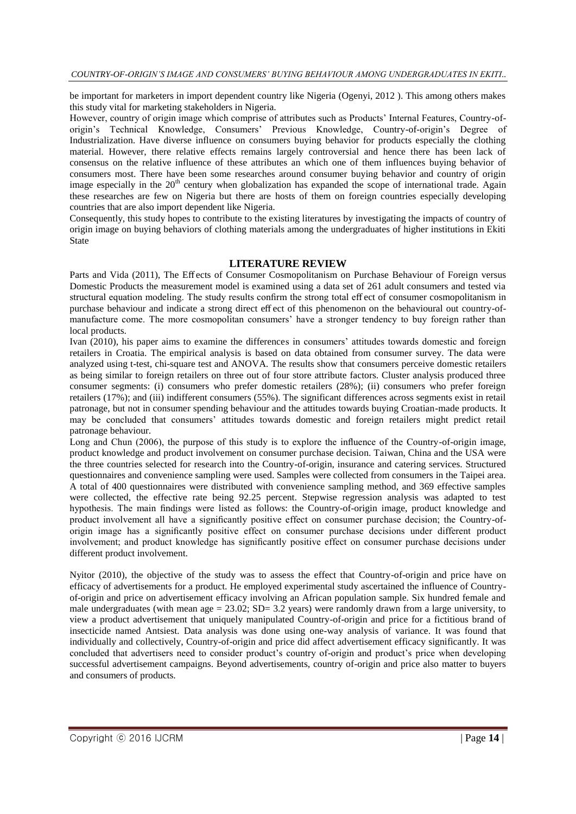be important for marketers in import dependent country like Nigeria (Ogenyi, 2012 ). This among others makes this study vital for marketing stakeholders in Nigeria.

However, country of origin image which comprise of attributes such as Products' Internal Features, Country-oforigin's Technical Knowledge, Consumers' Previous Knowledge, Country-of-origin's Degree of Industrialization. Have diverse influence on consumers buying behavior for products especially the clothing material. However, there relative effects remains largely controversial and hence there has been lack of consensus on the relative influence of these attributes an which one of them influences buying behavior of consumers most. There have been some researches around consumer buying behavior and country of origin image especially in the 20<sup>th</sup> century when globalization has expanded the scope of international trade. Again these researches are few on Nigeria but there are hosts of them on foreign countries especially developing countries that are also import dependent like Nigeria.

Consequently, this study hopes to contribute to the existing literatures by investigating the impacts of country of origin image on buying behaviors of clothing materials among the undergraduates of higher institutions in Ekiti State

### **LITERATURE REVIEW**

Parts and Vida (2011), The Eff ects of Consumer Cosmopolitanism on Purchase Behaviour of Foreign versus Domestic Products the measurement model is examined using a data set of 261 adult consumers and tested via structural equation modeling. The study results confirm the strong total eff ect of consumer cosmopolitanism in purchase behaviour and indicate a strong direct eff ect of this phenomenon on the behavioural out country-ofmanufacture come. The more cosmopolitan consumers' have a stronger tendency to buy foreign rather than local products.

Ivan (2010), his paper aims to examine the differences in consumers' attitudes towards domestic and foreign retailers in Croatia. The empirical analysis is based on data obtained from consumer survey. The data were analyzed using t-test, chi-square test and ANOVA. The results show that consumers perceive domestic retailers as being similar to foreign retailers on three out of four store attribute factors. Cluster analysis produced three consumer segments: (i) consumers who prefer domestic retailers (28%); (ii) consumers who prefer foreign retailers (17%); and (iii) indifferent consumers (55%). The significant differences across segments exist in retail patronage, but not in consumer spending behaviour and the attitudes towards buying Croatian-made products. It may be concluded that consumers' attitudes towards domestic and foreign retailers might predict retail patronage behaviour.

Long and Chun (2006), the purpose of this study is to explore the influence of the Country-of-origin image, product knowledge and product involvement on consumer purchase decision. Taiwan, China and the USA were the three countries selected for research into the Country-of-origin, insurance and catering services. Structured questionnaires and convenience sampling were used. Samples were collected from consumers in the Taipei area. A total of 400 questionnaires were distributed with convenience sampling method, and 369 effective samples were collected, the effective rate being 92.25 percent. Stepwise regression analysis was adapted to test hypothesis. The main findings were listed as follows: the Country-of-origin image, product knowledge and product involvement all have a significantly positive effect on consumer purchase decision; the Country-oforigin image has a significantly positive effect on consumer purchase decisions under different product involvement; and product knowledge has significantly positive effect on consumer purchase decisions under different product involvement.

Nyitor (2010), the objective of the study was to assess the effect that Country-of-origin and price have on efficacy of advertisements for a product. He employed experimental study ascertained the influence of Countryof-origin and price on advertisement efficacy involving an African population sample. Six hundred female and male undergraduates (with mean age =  $23.02$ ; SD=  $3.2$  years) were randomly drawn from a large university, to view a product advertisement that uniquely manipulated Country-of-origin and price for a fictitious brand of insecticide named Antsiest. Data analysis was done using one-way analysis of variance. It was found that individually and collectively, Country-of-origin and price did affect advertisement efficacy significantly. It was concluded that advertisers need to consider product's country of-origin and product's price when developing successful advertisement campaigns. Beyond advertisements, country of-origin and price also matter to buyers and consumers of products.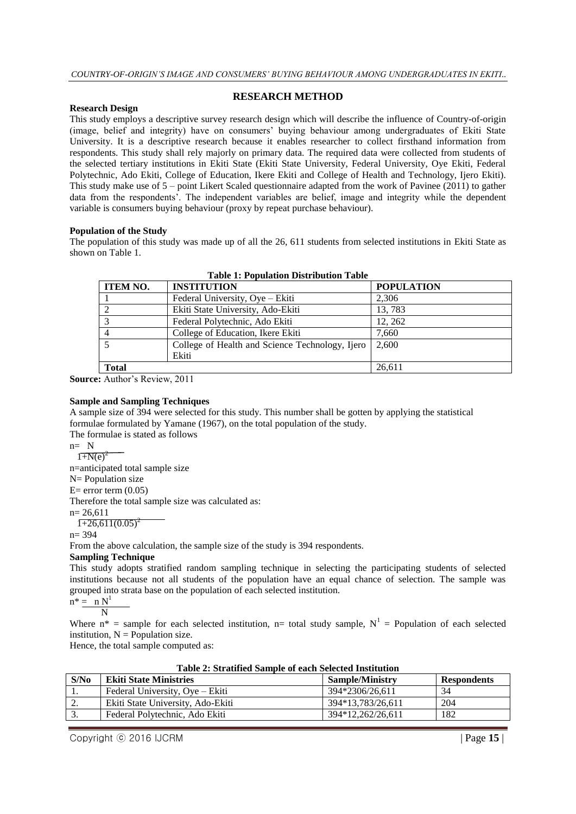#### **RESEARCH METHOD**

#### **Research Design**

This study employs a descriptive survey research design which will describe the influence of Country-of-origin (image, belief and integrity) have on consumers' buying behaviour among undergraduates of Ekiti State University. It is a descriptive research because it enables researcher to collect firsthand information from respondents. This study shall rely majorly on primary data. The required data were collected from students of the selected tertiary institutions in Ekiti State (Ekiti State University, Federal University, Oye Ekiti, Federal Polytechnic, Ado Ekiti, College of Education, Ikere Ekiti and College of Health and Technology, Ijero Ekiti). This study make use of 5 – point Likert Scaled questionnaire adapted from the work of Pavinee (2011) to gather data from the respondents'. The independent variables are belief, image and integrity while the dependent variable is consumers buying behaviour (proxy by repeat purchase behaviour).

#### **Population of the Study**

The population of this study was made up of all the 26, 611 students from selected institutions in Ekiti State as shown on Table 1.

| Tuole II I opulatoli Diotrioutoli Tuole |                                                 |                   |  |  |  |
|-----------------------------------------|-------------------------------------------------|-------------------|--|--|--|
| <b>ITEM NO.</b>                         | <b>INSTITUTION</b>                              | <b>POPULATION</b> |  |  |  |
|                                         | Federal University, Oye - Ekiti                 | 2.306             |  |  |  |
|                                         | Ekiti State University, Ado-Ekiti               | 13,783            |  |  |  |
|                                         | Federal Polytechnic, Ado Ekiti                  | 12, 262           |  |  |  |
|                                         | College of Education, Ikere Ekiti               | 7,660             |  |  |  |
|                                         | College of Health and Science Technology, Ijero | 2.600             |  |  |  |
|                                         | Ekiti                                           |                   |  |  |  |
| <b>Total</b>                            |                                                 | 26,611            |  |  |  |

**Table 1: Population Distribution Table**

**Source:** Author's Review, 2011

#### **Sample and Sampling Techniques**

A sample size of 394 were selected for this study. This number shall be gotten by applying the statistical formulae formulated by Yamane (1967), on the total population of the study.

The formulae is stated as follows

$$
n = N
$$

 $1 + N(e)^2$ n=anticipated total sample size

N= Population size

 $E=$  error term  $(0.05)$ 

Therefore the total sample size was calculated as:

 $n= 26,611$ 

$$
1+26,611(0.05)^2
$$

n= 394

From the above calculation, the sample size of the study is 394 respondents.

# **Sampling Technique**

This study adopts stratified random sampling technique in selecting the participating students of selected institutions because not all students of the population have an equal chance of selection. The sample was grouped into strata base on the population of each selected institution.

$$
n^* = \frac{n N^1}{N}
$$

Where  $n^*$  = sample for each selected institution, n= total study sample,  $N^1$  = Population of each selected institution,  $N =$  Population size.

Hence, the total sample computed as:

| S/N <sub>0</sub> | <b>Ekiti State Ministries</b>     | <b>Sample/Ministry</b> | <b>Respondents</b> |  |  |  |
|------------------|-----------------------------------|------------------------|--------------------|--|--|--|
| . .              | Federal University, Oye – Ekiti   | 394*2306/26.611        | 34                 |  |  |  |
| <u>.</u>         | Ekiti State University, Ado-Ekiti | 394*13,783/26,611      | 204                |  |  |  |
| J.               | Federal Polytechnic, Ado Ekiti    | 394*12.262/26.611      | 182                |  |  |  |
|                  |                                   |                        |                    |  |  |  |

**Table 2: Stratified Sample of each Selected Institution**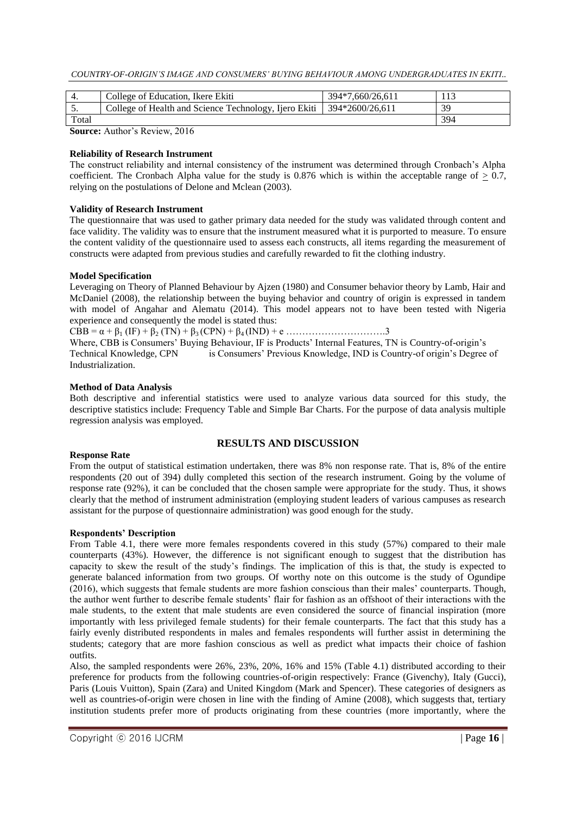|       | College of Education, Ikere Ekiti                                       | 394*7.660/26.611 |     |
|-------|-------------------------------------------------------------------------|------------------|-----|
|       | College of Health and Science Technology, Ijero Ekiti   394*2600/26,611 |                  | 39  |
| Total |                                                                         |                  | 394 |

**Source:** Author's Review, 2016

#### **Reliability of Research Instrument**

The construct reliability and internal consistency of the instrument was determined through Cronbach's Alpha coefficient. The Cronbach Alpha value for the study is  $0.876$  which is within the acceptable range of  $> 0.7$ , relying on the postulations of Delone and Mclean (2003).

#### **Validity of Research Instrument**

The questionnaire that was used to gather primary data needed for the study was validated through content and face validity. The validity was to ensure that the instrument measured what it is purported to measure. To ensure the content validity of the questionnaire used to assess each constructs, all items regarding the measurement of constructs were adapted from previous studies and carefully rewarded to fit the clothing industry.

#### **Model Specification**

Leveraging on Theory of Planned Behaviour by Ajzen (1980) and Consumer behavior theory by Lamb, Hair and McDaniel (2008), the relationship between the buying behavior and country of origin is expressed in tandem with model of Angahar and Alematu (2014). This model appears not to have been tested with Nigeria experience and consequently the model is stated thus:

 $CBB = \alpha + \beta_1 (IF) + \beta_2 (TN) + \beta_3 (CPN) + \beta_4 (IND) + e \dots$ 

Where, CBB is Consumers' Buying Behaviour, IF is Products' Internal Features, TN is Country-of-origin's Technical Knowledge, CPN is Consumers' Previous Knowledge, IND is Country-of origin's Degree of Industrialization.

#### **Method of Data Analysis**

Both descriptive and inferential statistics were used to analyze various data sourced for this study, the descriptive statistics include: Frequency Table and Simple Bar Charts. For the purpose of data analysis multiple regression analysis was employed.

#### **RESULTS AND DISCUSSION**

#### **Response Rate**

From the output of statistical estimation undertaken, there was 8% non response rate. That is, 8% of the entire respondents (20 out of 394) dully completed this section of the research instrument. Going by the volume of response rate (92%), it can be concluded that the chosen sample were appropriate for the study. Thus, it shows clearly that the method of instrument administration (employing student leaders of various campuses as research assistant for the purpose of questionnaire administration) was good enough for the study.

#### **Respondents' Description**

From Table 4.1, there were more females respondents covered in this study (57%) compared to their male counterparts (43%). However, the difference is not significant enough to suggest that the distribution has capacity to skew the result of the study's findings. The implication of this is that, the study is expected to generate balanced information from two groups. Of worthy note on this outcome is the study of Ogundipe (2016), which suggests that female students are more fashion conscious than their males' counterparts. Though, the author went further to describe female students' flair for fashion as an offshoot of their interactions with the male students, to the extent that male students are even considered the source of financial inspiration (more importantly with less privileged female students) for their female counterparts. The fact that this study has a fairly evenly distributed respondents in males and females respondents will further assist in determining the students; category that are more fashion conscious as well as predict what impacts their choice of fashion outfits.

Also, the sampled respondents were 26%, 23%, 20%, 16% and 15% (Table 4.1) distributed according to their preference for products from the following countries-of-origin respectively: France (Givenchy), Italy (Gucci), Paris (Louis Vuitton), Spain (Zara) and United Kingdom (Mark and Spencer). These categories of designers as well as countries-of-origin were chosen in line with the finding of Amine (2008), which suggests that, tertiary institution students prefer more of products originating from these countries (more importantly, where the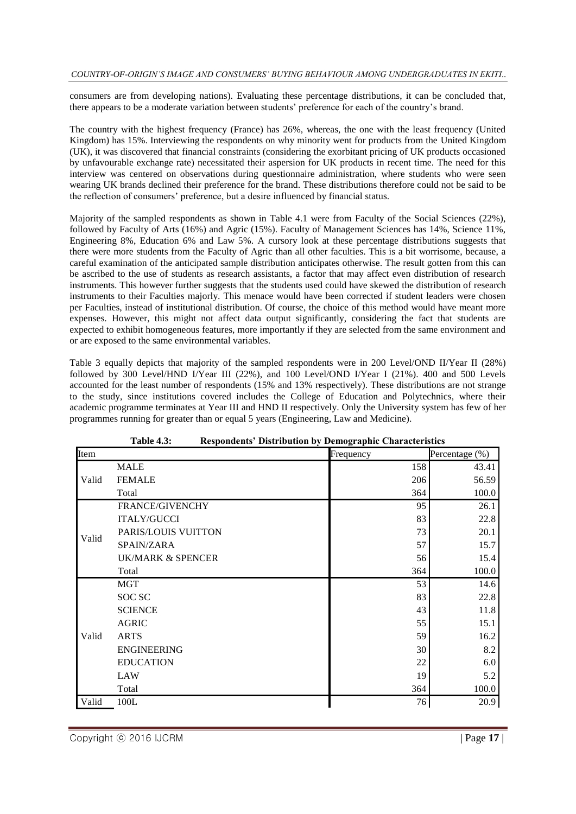consumers are from developing nations). Evaluating these percentage distributions, it can be concluded that, there appears to be a moderate variation between students' preference for each of the country's brand.

The country with the highest frequency (France) has 26%, whereas, the one with the least frequency (United Kingdom) has 15%. Interviewing the respondents on why minority went for products from the United Kingdom (UK), it was discovered that financial constraints (considering the exorbitant pricing of UK products occasioned by unfavourable exchange rate) necessitated their aspersion for UK products in recent time. The need for this interview was centered on observations during questionnaire administration, where students who were seen wearing UK brands declined their preference for the brand. These distributions therefore could not be said to be the reflection of consumers' preference, but a desire influenced by financial status.

Majority of the sampled respondents as shown in Table 4.1 were from Faculty of the Social Sciences (22%), followed by Faculty of Arts (16%) and Agric (15%). Faculty of Management Sciences has 14%, Science 11%, Engineering 8%, Education 6% and Law 5%. A cursory look at these percentage distributions suggests that there were more students from the Faculty of Agric than all other faculties. This is a bit worrisome, because, a careful examination of the anticipated sample distribution anticipates otherwise. The result gotten from this can be ascribed to the use of students as research assistants, a factor that may affect even distribution of research instruments. This however further suggests that the students used could have skewed the distribution of research instruments to their Faculties majorly. This menace would have been corrected if student leaders were chosen per Faculties, instead of institutional distribution. Of course, the choice of this method would have meant more expenses. However, this might not affect data output significantly, considering the fact that students are expected to exhibit homogeneous features, more importantly if they are selected from the same environment and or are exposed to the same environmental variables.

Table 3 equally depicts that majority of the sampled respondents were in 200 Level/OND II/Year II (28%) followed by 300 Level/HND I/Year III (22%), and 100 Level/OND I/Year I (21%). 400 and 500 Levels accounted for the least number of respondents (15% and 13% respectively). These distributions are not strange to the study, since institutions covered includes the College of Education and Polytechnics, where their academic programme terminates at Year III and HND II respectively. Only the University system has few of her programmes running for greater than or equal 5 years (Engineering, Law and Medicine).

|       | <b>Table 4.3:</b><br>Respondents' Distribution by Demographic Characteristics |           |                |  |  |  |
|-------|-------------------------------------------------------------------------------|-----------|----------------|--|--|--|
| Item  |                                                                               | Frequency | Percentage (%) |  |  |  |
|       | <b>MALE</b>                                                                   | 158       | 43.41          |  |  |  |
| Valid | <b>FEMALE</b>                                                                 | 206       | 56.59          |  |  |  |
|       | Total                                                                         | 364       | 100.0          |  |  |  |
|       | <b>FRANCE/GIVENCHY</b>                                                        | 95        | 26.1           |  |  |  |
|       | <b>ITALY/GUCCI</b>                                                            | 83        | 22.8           |  |  |  |
| Valid | PARIS/LOUIS VUITTON                                                           | 73        | 20.1           |  |  |  |
|       | SPAIN/ZARA                                                                    | 57        | 15.7           |  |  |  |
|       | <b>UK/MARK &amp; SPENCER</b>                                                  | 56        | 15.4           |  |  |  |
|       | Total                                                                         | 364       | 100.0          |  |  |  |
|       | <b>MGT</b>                                                                    | 53        | 14.6           |  |  |  |
|       | SOC SC                                                                        | 83        | 22.8           |  |  |  |
|       | <b>SCIENCE</b>                                                                | 43        | 11.8           |  |  |  |
|       | <b>AGRIC</b>                                                                  | 55        | 15.1           |  |  |  |
| Valid | <b>ARTS</b>                                                                   | 59        | 16.2           |  |  |  |
|       | <b>ENGINEERING</b>                                                            | 30        | 8.2            |  |  |  |
|       | <b>EDUCATION</b>                                                              | 22        | 6.0            |  |  |  |
|       | LAW                                                                           | 19        | 5.2            |  |  |  |
|       | Total                                                                         | 364       | 100.0          |  |  |  |
| Valid | 100L                                                                          | 76        | 20.9           |  |  |  |

| <b>Table 4.3:</b> |  | <b>Respondents' Distribution by Demographic Characteristics</b> |
|-------------------|--|-----------------------------------------------------------------|
|-------------------|--|-----------------------------------------------------------------|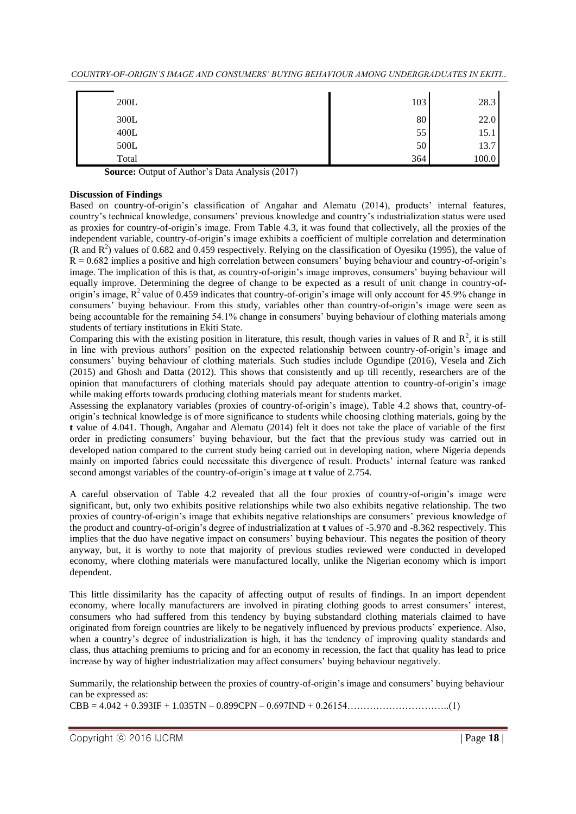*COUNTRY-OF-ORIGIN'S IMAGE AND CONSUMERS' BUYING BEHAVIOUR AMONG UNDERGRADUATES IN EKITI..*

| 200L   | 103 | 28.3  |
|--------|-----|-------|
| 300L   | 80  | 22.0  |
| $400L$ | 55  | 15.1  |
| 500L   | 50  | 13.7  |
| Total  | 364 | 100.0 |

**Source:** Output of Author's Data Analysis (2017)

### **Discussion of Findings**

Based on country-of-origin's classification of Angahar and Alematu (2014), products' internal features, country's technical knowledge, consumers' previous knowledge and country's industrialization status were used as proxies for country-of-origin's image. From Table 4.3, it was found that collectively, all the proxies of the independent variable, country-of-origin's image exhibits a coefficient of multiple correlation and determination (R and  $R^2$ ) values of 0.682 and 0.459 respectively. Relying on the classification of Oyesiku (1995), the value of  $R = 0.682$  implies a positive and high correlation between consumers' buying behaviour and country-of-origin's image. The implication of this is that, as country-of-origin's image improves, consumers' buying behaviour will equally improve. Determining the degree of change to be expected as a result of unit change in country-oforigin's image,  $R^2$  value of 0.459 indicates that country-of-origin's image will only account for 45.9% change in consumers' buying behaviour. From this study, variables other than country-of-origin's image were seen as being accountable for the remaining 54.1% change in consumers' buying behaviour of clothing materials among students of tertiary institutions in Ekiti State.

Comparing this with the existing position in literature, this result, though varies in values of R and  $R^2$ , it is still in line with previous authors' position on the expected relationship between country-of-origin's image and consumers' buying behaviour of clothing materials. Such studies include Ogundipe (2016), Vesela and Zich (2015) and Ghosh and Datta (2012). This shows that consistently and up till recently, researchers are of the opinion that manufacturers of clothing materials should pay adequate attention to country-of-origin's image while making efforts towards producing clothing materials meant for students market.

Assessing the explanatory variables (proxies of country-of-origin's image), Table 4.2 shows that, country-oforigin's technical knowledge is of more significance to students while choosing clothing materials, going by the **t** value of 4.041. Though, Angahar and Alematu (2014) felt it does not take the place of variable of the first order in predicting consumers' buying behaviour, but the fact that the previous study was carried out in developed nation compared to the current study being carried out in developing nation, where Nigeria depends mainly on imported fabrics could necessitate this divergence of result. Products' internal feature was ranked second amongst variables of the country-of-origin's image at **t** value of 2.754.

A careful observation of Table 4.2 revealed that all the four proxies of country-of-origin's image were significant, but, only two exhibits positive relationships while two also exhibits negative relationship. The two proxies of country-of-origin's image that exhibits negative relationships are consumers' previous knowledge of the product and country-of-origin's degree of industrialization at **t** values of -5.970 and -8.362 respectively. This implies that the duo have negative impact on consumers' buying behaviour. This negates the position of theory anyway, but, it is worthy to note that majority of previous studies reviewed were conducted in developed economy, where clothing materials were manufactured locally, unlike the Nigerian economy which is import dependent.

This little dissimilarity has the capacity of affecting output of results of findings. In an import dependent economy, where locally manufacturers are involved in pirating clothing goods to arrest consumers' interest, consumers who had suffered from this tendency by buying substandard clothing materials claimed to have originated from foreign countries are likely to be negatively influenced by previous products' experience. Also, when a country's degree of industrialization is high, it has the tendency of improving quality standards and class, thus attaching premiums to pricing and for an economy in recession, the fact that quality has lead to price increase by way of higher industrialization may affect consumers' buying behaviour negatively.

Summarily, the relationship between the proxies of country-of-origin's image and consumers' buying behaviour can be expressed as:

CBB = 4.042 + 0.393IF + 1.035TN – 0.899CPN – 0.697IND + 0.26154…………………………..(1)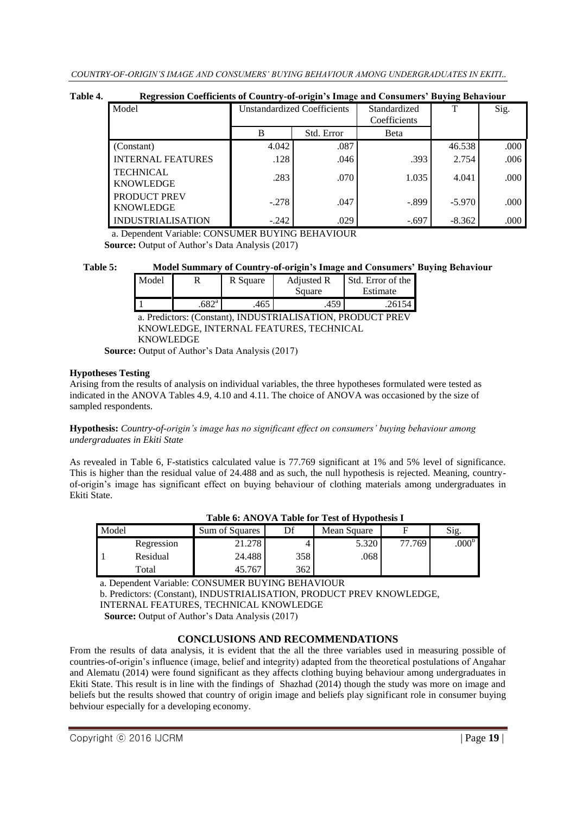# **Table 4. Regression Coefficients of Country-of-origin's Image and Consumers' Buying Behaviour**

| $\overline{\phantom{a}}$             |                                    | $\cdot$    |                              | . .      |      |
|--------------------------------------|------------------------------------|------------|------------------------------|----------|------|
| Model                                | <b>Unstandardized Coefficients</b> |            | Standardized<br>Coefficients | T        | Sig. |
|                                      | B                                  | Std. Error | Beta                         |          |      |
| (Constant)                           | 4.042                              | .087       |                              | 46.538   | .000 |
| <b>INTERNAL FEATURES</b>             | .128                               | .046       | .393                         | 2.754    | .006 |
| <b>TECHNICAL</b><br><b>KNOWLEDGE</b> | .283                               | .070       | 1.035                        | 4.041    | .000 |
| PRODUCT PREV<br><b>KNOWLEDGE</b>     | $-.278$                            | .047       | $-.899$                      | $-5.970$ | .000 |
| <b>INDUSTRIALISATION</b>             | $-.242$                            | .029       | $-.697$                      | $-8.362$ | .000 |

a. Dependent Variable: CONSUMER BUYING BEHAVIOUR **Source:** Output of Author's Data Analysis (2017)

#### **Table 5: Model Summary of Country-of-origin's Image and Consumers' Buying Behaviour**

| Model |                   | R Square | Adjusted R | I Std. Error of the |
|-------|-------------------|----------|------------|---------------------|
|       |                   |          | Square     | Estimate            |
|       | .682 <sup>a</sup> | 465      | .459       | 26154               |

a. Predictors: (Constant), INDUSTRIALISATION, PRODUCT PREV KNOWLEDGE, INTERNAL FEATURES, TECHNICAL **KNOWLEDGE** 

**Source:** Output of Author's Data Analysis (2017)

#### **Hypotheses Testing**

Arising from the results of analysis on individual variables, the three hypotheses formulated were tested as indicated in the ANOVA Tables 4.9, 4.10 and 4.11. The choice of ANOVA was occasioned by the size of sampled respondents.

**Hypothesis:** *Country-of-origin's image has no significant effect on consumers' buying behaviour among undergraduates in Ekiti State*

As revealed in Table 6, F-statistics calculated value is 77.769 significant at 1% and 5% level of significance. This is higher than the residual value of 24.488 and as such, the null hypothesis is rejected. Meaning, countryof-origin's image has significant effect on buying behaviour of clothing materials among undergraduates in Ekiti State.

| THE V. TERM THE RESIDENCE OF THE POLITICS IS |            |                |     |             |        |                   |  |
|----------------------------------------------|------------|----------------|-----|-------------|--------|-------------------|--|
| Model                                        |            | Sum of Squares |     | Mean Square |        | Sig.              |  |
|                                              | Regression | 21.278         |     | 5.320       | 77.769 | .000 <sup>b</sup> |  |
|                                              | Residual   | 24.488         | 358 | .068        |        |                   |  |
|                                              | Total      | 45.767         | 362 |             |        |                   |  |

#### **Table 6: ANOVA Table for Test of Hypothesis I**

a. Dependent Variable: CONSUMER BUYING BEHAVIOUR

b. Predictors: (Constant), INDUSTRIALISATION, PRODUCT PREV KNOWLEDGE,

INTERNAL FEATURES, TECHNICAL KNOWLEDGE

**Source:** Output of Author's Data Analysis (2017)

# **CONCLUSIONS AND RECOMMENDATIONS**

From the results of data analysis, it is evident that the all the three variables used in measuring possible of countries-of-origin's influence (image, belief and integrity) adapted from the theoretical postulations of Angahar and Alematu (2014) were found significant as they affects clothing buying behaviour among undergraduates in Ekiti State. This result is in line with the findings of Shazhad (2014) though the study was more on image and beliefs but the results showed that country of origin image and beliefs play significant role in consumer buying behviour especially for a developing economy.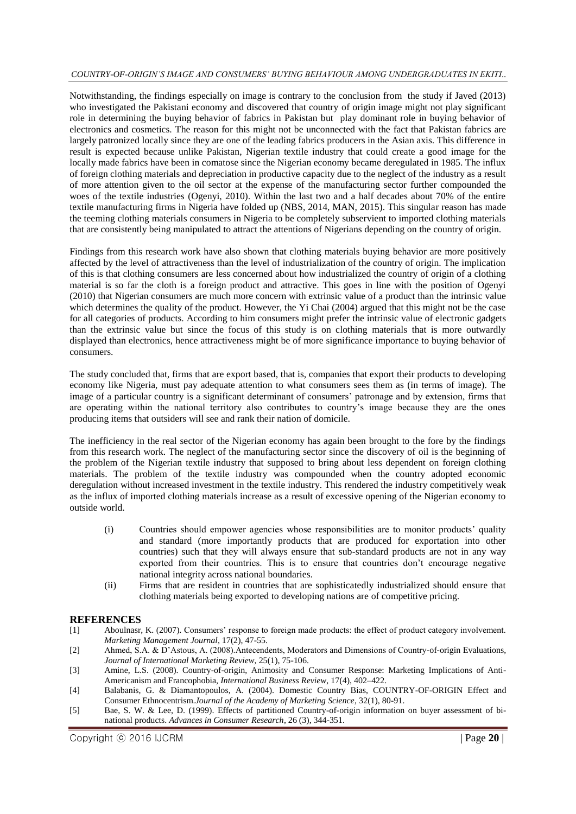#### *COUNTRY-OF-ORIGIN'S IMAGE AND CONSUMERS' BUYING BEHAVIOUR AMONG UNDERGRADUATES IN EKITI..*

Notwithstanding, the findings especially on image is contrary to the conclusion from the study if Javed (2013) who investigated the Pakistani economy and discovered that country of origin image might not play significant role in determining the buying behavior of fabrics in Pakistan but play dominant role in buying behavior of electronics and cosmetics. The reason for this might not be unconnected with the fact that Pakistan fabrics are largely patronized locally since they are one of the leading fabrics producers in the Asian axis. This difference in result is expected because unlike Pakistan, Nigerian textile industry that could create a good image for the locally made fabrics have been in comatose since the Nigerian economy became deregulated in 1985. The influx of foreign clothing materials and depreciation in productive capacity due to the neglect of the industry as a result of more attention given to the oil sector at the expense of the manufacturing sector further compounded the woes of the textile industries (Ogenyi, 2010). Within the last two and a half decades about 70% of the entire textile manufacturing firms in Nigeria have folded up (NBS, 2014, MAN, 2015). This singular reason has made the teeming clothing materials consumers in Nigeria to be completely subservient to imported clothing materials that are consistently being manipulated to attract the attentions of Nigerians depending on the country of origin.

Findings from this research work have also shown that clothing materials buying behavior are more positively affected by the level of attractiveness than the level of industrialization of the country of origin. The implication of this is that clothing consumers are less concerned about how industrialized the country of origin of a clothing material is so far the cloth is a foreign product and attractive. This goes in line with the position of Ogenyi (2010) that Nigerian consumers are much more concern with extrinsic value of a product than the intrinsic value which determines the quality of the product. However, the Yi Chai (2004) argued that this might not be the case for all categories of products. According to him consumers might prefer the intrinsic value of electronic gadgets than the extrinsic value but since the focus of this study is on clothing materials that is more outwardly displayed than electronics, hence attractiveness might be of more significance importance to buying behavior of consumers.

The study concluded that, firms that are export based, that is, companies that export their products to developing economy like Nigeria, must pay adequate attention to what consumers sees them as (in terms of image). The image of a particular country is a significant determinant of consumers' patronage and by extension, firms that are operating within the national territory also contributes to country's image because they are the ones producing items that outsiders will see and rank their nation of domicile.

The inefficiency in the real sector of the Nigerian economy has again been brought to the fore by the findings from this research work. The neglect of the manufacturing sector since the discovery of oil is the beginning of the problem of the Nigerian textile industry that supposed to bring about less dependent on foreign clothing materials. The problem of the textile industry was compounded when the country adopted economic deregulation without increased investment in the textile industry. This rendered the industry competitively weak as the influx of imported clothing materials increase as a result of excessive opening of the Nigerian economy to outside world.

- (i) Countries should empower agencies whose responsibilities are to monitor products' quality and standard (more importantly products that are produced for exportation into other countries) such that they will always ensure that sub-standard products are not in any way exported from their countries. This is to ensure that countries don't encourage negative national integrity across national boundaries.
- (ii) Firms that are resident in countries that are sophisticatedly industrialized should ensure that clothing materials being exported to developing nations are of competitive pricing.

## **REFERENCES**

- [1] Aboulnasr, K. (2007). Consumers' response to foreign made products: the effect of product category involvement. *Marketing Management Journal*, 17(2), 47-55.
- [2] Ahmed, S.A. & D'Astous, A. (2008).Antecendents, Moderators and Dimensions of Country-of-origin Evaluations, *Journal of International Marketing Review*, 25(1), 75-106.
- [3] Amine, L.S. (2008). Country-of-origin, Animosity and Consumer Response: Marketing Implications of Anti-Americanism and Francophobia, *International Business Review*, 17(4), 402–422.
- [4] Balabanis, G. & Diamantopoulos, A. (2004). Domestic Country Bias, COUNTRY-OF-ORIGIN Effect and Consumer Ethnocentrism.*Journal of the Academy of Marketing Science*, 32(1), 80-91.
- [5] Bae, S. W. & Lee, D. (1999). Effects of partitioned Country-of-origin information on buyer assessment of binational products. *Advances in Consumer Research*, 26 (3), 344-351.

Copyright ⓒ 2016 IJCRM | Page **20** |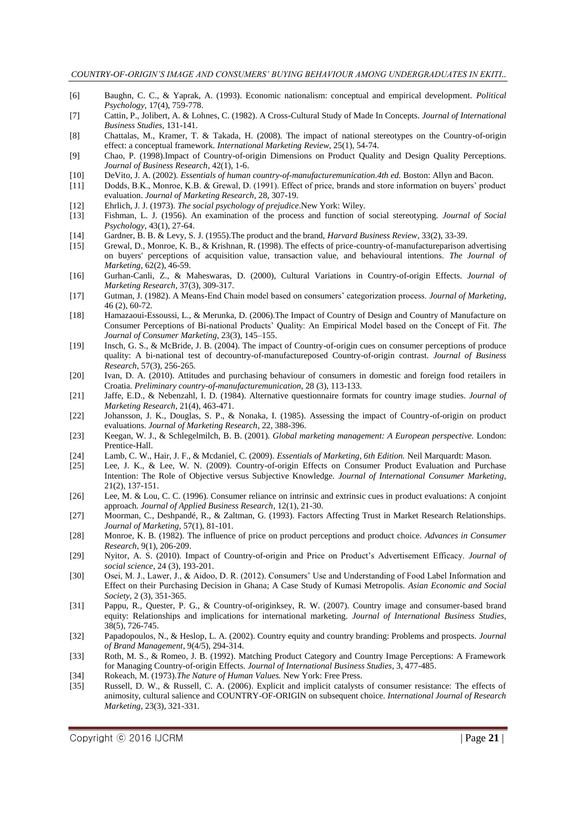- [6] Baughn, C. C., & Yaprak, A. (1993). Economic nationalism: conceptual and empirical development. *Political Psychology,* 17(4), 759-778.
- [7] Cattin, P., Jolibert, A. & Lohnes, C. (1982). A Cross-Cultural Study of Made In Concepts. *Journal of International Business Studies*, 131-141.
- [8] Chattalas, M., Kramer, T. & Takada, H. (2008). The impact of national stereotypes on the Country-of-origin effect: a conceptual framework. *International Marketing Review*, 25(1), 54-74.
- [9] Chao, P. (1998).Impact of Country-of-origin Dimensions on Product Quality and Design Quality Perceptions. *Journal of Business Research*, 42(1), 1-6.
- [10] DeVito, J. A. (2002). *Essentials of human country-of-manufacturemunication.4th ed.* Boston: Allyn and Bacon.
- [11] Dodds, B.K., Monroe, K.B. & Grewal, D. (1991). Effect of price, brands and store information on buyers' product evaluation. *Journal of Marketing Research*, 28, 307-19.
- [12] Ehrlich, J. J. (1973). *The social psychology of prejudice*.New York: Wiley.
- [13] Fishman, L. J. (1956). An examination of the process and function of social stereotyping. *Journal of Social Psychology*, 43(1), 27-64.
- [14] Gardner, B. B. & Levy, S. J. (1955).The product and the brand, *Harvard Business Review*, 33(2), 33-39.
- [15] Grewal, D., Monroe, K. B., & Krishnan, R. (1998). The effects of price-country-of-manufactureparison advertising on buyers' perceptions of acquisition value, transaction value, and behavioural intentions. *The Journal of Marketing,* 62(2), 46-59.
- [16] Gurhan-Canli, Z., & Maheswaras, D. (2000), Cultural Variations in Country-of-origin Effects. *Journal of Marketing Research,* 37(3), 309-317.
- [17] Gutman, J. (1982). A Means-End Chain model based on consumers' categorization process. *Journal of Marketing*, 46 (2), 60-72.
- [18] Hamazaoui-Essoussi, L., & Merunka, D. (2006).The Impact of Country of Design and Country of Manufacture on Consumer Perceptions of Bi-national Products' Quality: An Empirical Model based on the Concept of Fit. *The Journal of Consumer Marketing*, 23(3), 145–155.
- [19] Insch, G. S., & McBride, J. B. (2004). The impact of Country-of-origin cues on consumer perceptions of produce quality: A bi-national test of decountry-of-manufactureposed Country-of-origin contrast. *Journal of Business Research*, 57(3), 256-265.
- [20] Ivan, D. A. (2010). Attitudes and purchasing behaviour of consumers in domestic and foreign food retailers in Croatia. *Preliminary country-of-manufacturemunication*, 28 (3), 113-133.
- [21] Jaffe, E.D., & Nebenzahl, I. D. (1984). Alternative questionnaire formats for country image studies. *Journal of Marketing Research*, 21(4), 463-471.
- [22] Johansson, J. K., Douglas, S. P., & Nonaka, I. (1985). Assessing the impact of Country-of-origin on product evaluations. *Journal of Marketing Research*, 22, 388-396.
- [23] Keegan, W. J., & Schlegelmilch, B. B. (2001). *Global marketing management: A European perspective.* London: Prentice-Hall.
- [24] Lamb, C. W., Hair, J. F., & Mcdaniel, C. (2009). *Essentials of Marketing, 6th Edition.* Neil Marquardt: Mason.
- [25] Lee, J. K., & Lee, W. N. (2009). Country-of-origin Effects on Consumer Product Evaluation and Purchase Intention: The Role of Objective versus Subjective Knowledge. *Journal of International Consumer Marketing*, 21(2), 137-151.
- [26] Lee, M. & Lou, C. C. (1996). Consumer reliance on intrinsic and extrinsic cues in product evaluations: A conjoint approach*. Journal of Applied Business Research*, 12(1), 21-30.
- [27] Moorman, C., Deshpandé, R., & Zaltman, G. (1993). Factors Affecting Trust in Market Research Relationships. *Journal of Marketing*, 57(1), 81-101.
- [28] Monroe, K. B. (1982). The influence of price on product perceptions and product choice. *Advances in Consumer Research*, 9(1), 206-209.
- [29] Nyitor, A. S. (2010). Impact of Country-of-origin and Price on Product's Advertisement Efficacy. *Journal of social science*, 24 (3), 193-201.
- [30] Osei, M. J., Lawer, J., & Aidoo, D. R. (2012). Consumers' Use and Understanding of Food Label Information and Effect on their Purchasing Decision in Ghana; A Case Study of Kumasi Metropolis. *Asian Economic and Social Society*, 2 (3), 351-365.
- [31] Pappu, R., Quester, P. G., & Country-of-originksey, R. W. (2007). Country image and consumer-based brand equity: Relationships and implications for international marketing. *Journal of International Business Studies*, 38(5), 726-745.
- [32] Papadopoulos, N., & Heslop, L. A. (2002). Country equity and country branding: Problems and prospects. *Journal of Brand Management*, 9(4/5), 294-314.
- [33] Roth, M. S., & Romeo, J. B. (1992). Matching Product Category and Country Image Perceptions: A Framework for Managing Country-of-origin Effects. *Journal of International Business Studies*, 3, 477-485.
- [34] Rokeach, M. (1973).*The Nature of Human Values.* New York: Free Press.
- [35] Russell, D. W., & Russell, C. A. (2006). Explicit and implicit catalysts of consumer resistance: The effects of animosity, cultural salience and COUNTRY-OF-ORIGIN on subsequent choice. *International Journal of Research Marketing*, 23(3), 321-331.